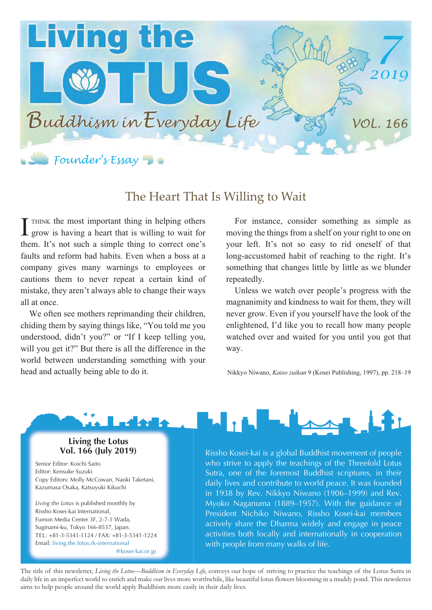

## The Heart That Is Willing to Wait

THINK the most important thing in helping others grow is having a heart that is willing to wait for them. It's not such a simple thing to correct one's faults and reform bad habits. Even when a boss at a company gives many warnings to employees or cautions them to never repeat a certain kind of mistake, they aren't always able to change their ways all at once. I

We often see mothers reprimanding their children, chiding them by saying things like, "You told me you understood, didn't you?" or "If I keep telling you, will you get it?" But there is all the difference in the world between understanding something with your head and actually being able to do it.

For instance, consider something as simple as moving the things from a shelf on your right to one on your left. It's not so easy to rid oneself of that long-accustomed habit of reaching to the right. It's something that changes little by little as we blunder repeatedly.

Unless we watch over people's progress with the magnanimity and kindness to wait for them, they will never grow. Even if you yourself have the look of the enlightened, I'd like you to recall how many people watched over and waited for you until you got that way.

Nikkyo Niwano, *Kaiso zuikan* 9 (Kosei Publishing, 1997), pp. 218–19



**Living the Lotus Vol. 166 (July 2019)**

Senior Editor: Koichi Saito Editor: Kensuke Suzuki Copy Editors: Molly McCowan, Naoki Taketani, Kazumasa Osaka, Katsuyuki Kikuchi

*Living the Lotus* is published monthly by Rissho Kosei-kai International, Fumon Media Center 3F, 2-7-1 Wada, Suginami-ku, Tokyo 166-8537, Japan. TEL: +81-3-5341-1124 / FAX: +81-3-5341-1224 Email: living.the.lotus.rk-international @kosei-kai.or.jp Rissho Kosei-kai is a global Buddhist movement of people who strive to apply the teachings of the Threefold Lotus Sutra, one of the foremost Buddhist scriptures, in their daily lives and contribute to world peace. It was founded in 1938 by Rev. Nikkyo Niwano (1906–1999) and Rev. Myoko Naganuma (1889–1957). With the guidance of President Nichiko Niwano, Rissho Kosei-kai members actively share the Dharma widely and engage in peace activities both locally and internationally in cooperation with people from many walks of life.

The title of this newsletter, *Living the Lotus—Buddhism in Everyday Life,* conveys our hope of striving to practice the teachings of the Lotus Sutra in daily life in an imperfect world to enrich and make our lives more worthwhile, like beautiful lotus flowers blooming in a muddy pond. This newsletter aims to help people around the world apply Buddhism more easily in their daily lives.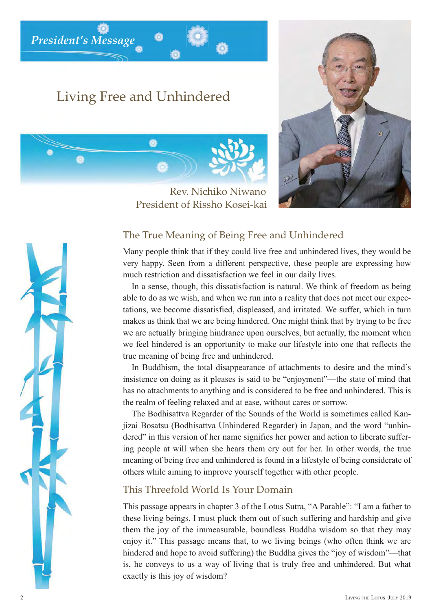*President's Message*

## Living Free and Unhindered

Ö



Rev. Nichiko Niwano President of Rissho Kosei-kai

## The True Meaning of Being Free and Unhindered

Many people think that if they could live free and unhindered lives, they would be very happy. Seen from a different perspective, these people are expressing how much restriction and dissatisfaction we feel in our daily lives.

In a sense, though, this dissatisfaction is natural. We think of freedom as being able to do as we wish, and when we run into a reality that does not meet our expectations, we become dissatisfied, displeased, and irritated. We suffer, which in turn makes us think that we are being hindered. One might think that by trying to be free we are actually bringing hindrance upon ourselves, but actually, the moment when we feel hindered is an opportunity to make our lifestyle into one that reflects the true meaning of being free and unhindered.

In Buddhism, the total disappearance of attachments to desire and the mind's insistence on doing as it pleases is said to be "enjoyment"—the state of mind that has no attachments to anything and is considered to be free and unhindered. This is the realm of feeling relaxed and at ease, without cares or sorrow.

The Bodhisattva Regarder of the Sounds of the World is sometimes called Kanjizai Bosatsu (Bodhisattva Unhindered Regarder) in Japan, and the word "unhindered" in this version of her name signifies her power and action to liberate suffering people at will when she hears them cry out for her. In other words, the true meaning of being free and unhindered is found in a lifestyle of being considerate of others while aiming to improve yourself together with other people.

## This Threefold World Is Your Domain

This passage appears in chapter 3 of the Lotus Sutra, "A Parable": "I am a father to these living beings. I must pluck them out of such suffering and hardship and give them the joy of the immeasurable, boundless Buddha wisdom so that they may enjoy it." This passage means that, to we living beings (who often think we are hindered and hope to avoid suffering) the Buddha gives the "joy of wisdom"—that is, he conveys to us a way of living that is truly free and unhindered. But what exactly is this joy of wisdom?

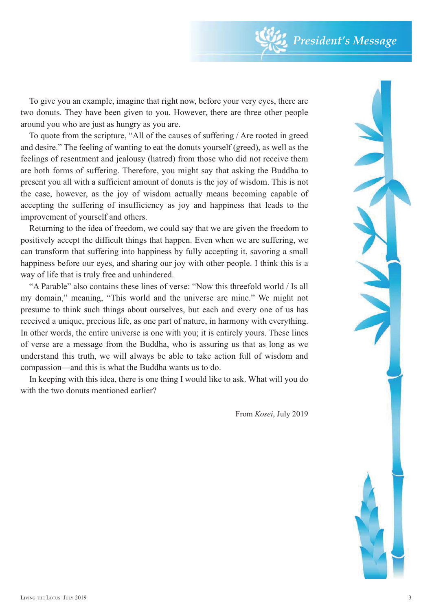To give you an example, imagine that right now, before your very eyes, there are two donuts. They have been given to you. However, there are three other people around you who are just as hungry as you are.

To quote from the scripture, "All of the causes of suffering / Are rooted in greed and desire." The feeling of wanting to eat the donuts yourself (greed), as well as the feelings of resentment and jealousy (hatred) from those who did not receive them are both forms of suffering. Therefore, you might say that asking the Buddha to present you all with a sufficient amount of donuts is the joy of wisdom. This is not the case, however, as the joy of wisdom actually means becoming capable of accepting the suffering of insufficiency as joy and happiness that leads to the improvement of yourself and others.

Returning to the idea of freedom, we could say that we are given the freedom to positively accept the difficult things that happen. Even when we are suffering, we can transform that suffering into happiness by fully accepting it, savoring a small happiness before our eyes, and sharing our joy with other people. I think this is a way of life that is truly free and unhindered.

"A Parable" also contains these lines of verse: "Now this threefold world / Is all my domain," meaning, "This world and the universe are mine." We might not presume to think such things about ourselves, but each and every one of us has received a unique, precious life, as one part of nature, in harmony with everything. In other words, the entire universe is one with you; it is entirely yours. These lines of verse are a message from the Buddha, who is assuring us that as long as we understand this truth, we will always be able to take action full of wisdom and compassion—and this is what the Buddha wants us to do.

In keeping with this idea, there is one thing I would like to ask. What will you do with the two donuts mentioned earlier?

From *Kosei*, July 2019

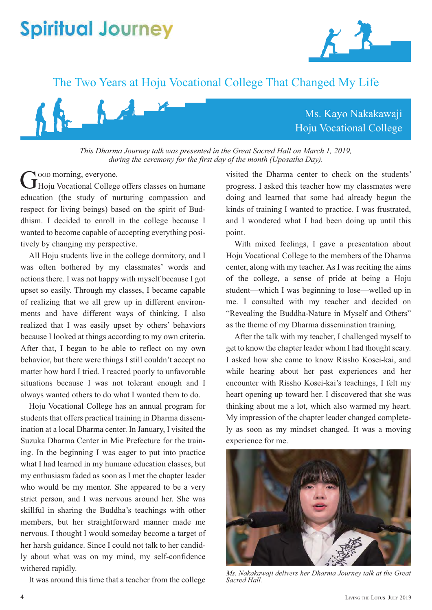# **Spiritual Journey**





*This Dharma Journey talk was presented in the Great Sacred Hall on March 1, 2019, during the ceremony for the first day of the month (Uposatha Day).*

Noop morning, everyone. Good morning, everyone.<br>
Hoju Vocational College offers classes on humane education (the study of nurturing compassion and respect for living beings) based on the spirit of Buddhism. I decided to enroll in the college because I wanted to become capable of accepting everything positively by changing my perspective.

All Hoju students live in the college dormitory, and I was often bothered by my classmates' words and actions there. I was not happy with myself because I got upset so easily. Through my classes, I became capable of realizing that we all grew up in different environments and have different ways of thinking. I also realized that I was easily upset by others' behaviors because I looked at things according to my own criteria. After that, I began to be able to reflect on my own behavior, but there were things I still couldn't accept no matter how hard I tried. I reacted poorly to unfavorable situations because I was not tolerant enough and I always wanted others to do what I wanted them to do.

Hoju Vocational College has an annual program for students that offers practical training in Dharma dissemination at a local Dharma center. In January, I visited the Suzuka Dharma Center in Mie Prefecture for the training. In the beginning I was eager to put into practice what I had learned in my humane education classes, but my enthusiasm faded as soon as I met the chapter leader who would be my mentor. She appeared to be a very strict person, and I was nervous around her. She was skillful in sharing the Buddha's teachings with other members, but her straightforward manner made me nervous. I thought I would someday become a target of her harsh guidance. Since I could not talk to her candidly about what was on my mind, my self-confidence withered rapidly.

It was around this time that a teacher from the college

visited the Dharma center to check on the students' progress. I asked this teacher how my classmates were doing and learned that some had already begun the kinds of training I wanted to practice. I was frustrated, and I wondered what I had been doing up until this point.

With mixed feelings, I gave a presentation about Hoju Vocational College to the members of the Dharma center, along with my teacher. As I was reciting the aims of the college, a sense of pride at being a Hoju student—which I was beginning to lose—welled up in me. I consulted with my teacher and decided on "Revealing the Buddha-Nature in Myself and Others" as the theme of my Dharma dissemination training.

After the talk with my teacher, I challenged myself to get to know the chapter leader whom I had thought scary. I asked how she came to know Rissho Kosei-kai, and while hearing about her past experiences and her encounter with Rissho Kosei-kai's teachings, I felt my heart opening up toward her. I discovered that she was thinking about me a lot, which also warmed my heart. My impression of the chapter leader changed completely as soon as my mindset changed. It was a moving experience for me.



*Ms. Nakakawaji delivers her Dharma Journey talk at the Great Sacred Hall.*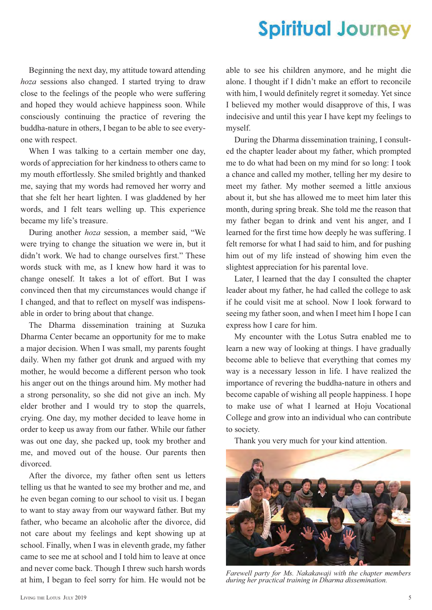## **Spiritual Journey**

Beginning the next day, my attitude toward attending *hoza* sessions also changed. I started trying to draw close to the feelings of the people who were suffering and hoped they would achieve happiness soon. While consciously continuing the practice of revering the buddha-nature in others, I began to be able to see everyone with respect.

When I was talking to a certain member one day, words of appreciation for her kindness to others came to my mouth effortlessly. She smiled brightly and thanked me, saying that my words had removed her worry and that she felt her heart lighten. I was gladdened by her words, and I felt tears welling up. This experience became my life's treasure.

During another *hoza* session, a member said, "We were trying to change the situation we were in, but it didn't work. We had to change ourselves first." These words stuck with me, as I knew how hard it was to change oneself. It takes a lot of effort. But I was convinced then that my circumstances would change if I changed, and that to reflect on myself was indispensable in order to bring about that change.

The Dharma dissemination training at Suzuka Dharma Center became an opportunity for me to make a major decision. When I was small, my parents fought daily. When my father got drunk and argued with my mother, he would become a different person who took his anger out on the things around him. My mother had a strong personality, so she did not give an inch. My elder brother and I would try to stop the quarrels, crying. One day, my mother decided to leave home in order to keep us away from our father. While our father was out one day, she packed up, took my brother and me, and moved out of the house. Our parents then divorced.

After the divorce, my father often sent us letters telling us that he wanted to see my brother and me, and he even began coming to our school to visit us. I began to want to stay away from our wayward father. But my father, who became an alcoholic after the divorce, did not care about my feelings and kept showing up at school. Finally, when I was in eleventh grade, my father came to see me at school and I told him to leave at once and never come back. Though I threw such harsh words at him, I began to feel sorry for him. He would not be

able to see his children anymore, and he might die alone. I thought if I didn't make an effort to reconcile with him, I would definitely regret it someday. Yet since I believed my mother would disapprove of this, I was indecisive and until this year I have kept my feelings to myself.

During the Dharma dissemination training, I consulted the chapter leader about my father, which prompted me to do what had been on my mind for so long: I took a chance and called my mother, telling her my desire to meet my father. My mother seemed a little anxious about it, but she has allowed me to meet him later this month, during spring break. She told me the reason that my father began to drink and vent his anger, and I learned for the first time how deeply he was suffering. I felt remorse for what I had said to him, and for pushing him out of my life instead of showing him even the slightest appreciation for his parental love.

Later, I learned that the day I consulted the chapter leader about my father, he had called the college to ask if he could visit me at school. Now I look forward to seeing my father soon, and when I meet him I hope I can express how I care for him.

My encounter with the Lotus Sutra enabled me to learn a new way of looking at things. I have gradually become able to believe that everything that comes my way is a necessary lesson in life. I have realized the importance of revering the buddha-nature in others and become capable of wishing all people happiness. I hope to make use of what I learned at Hoju Vocational College and grow into an individual who can contribute to society.

Thank you very much for your kind attention.



*Farewell party for Ms. Nakakawaji with the chapter members during her practical training in Dharma dissemination.*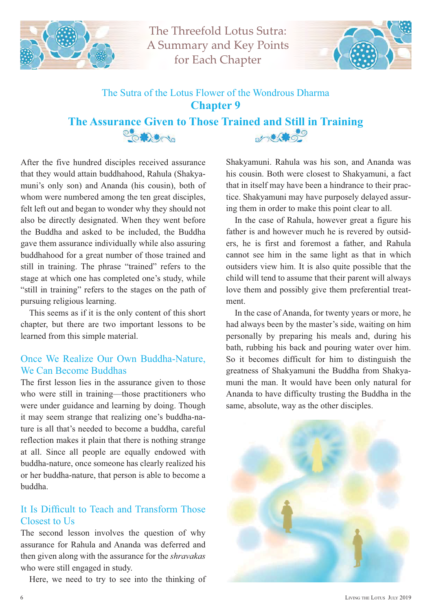![](_page_5_Picture_0.jpeg)

The Threefold Lotus Sutra: A Summary and Key Points for Each Chapter

![](_page_5_Picture_2.jpeg)

## The Sutra of the Lotus Flower of the Wondrous Dharma **Chapter 9**

The Assurance Given to Those Trained and Still in Training **CONSTANT** 

After the five hundred disciples received assurance that they would attain buddhahood, Rahula (Shakyamuni's only son) and Ananda (his cousin), both of whom were numbered among the ten great disciples, felt left out and began to wonder why they should not also be directly designated. When they went before the Buddha and asked to be included, the Buddha gave them assurance individually while also assuring buddhahood for a great number of those trained and still in training. The phrase "trained" refers to the stage at which one has completed one's study, while "still in training" refers to the stages on the path of pursuing religious learning.

This seems as if it is the only content of this short chapter, but there are two important lessons to be learned from this simple material.

## Once We Realize Our Own Buddha-Nature, We Can Become Buddhas

The first lesson lies in the assurance given to those who were still in training—those practitioners who were under guidance and learning by doing. Though it may seem strange that realizing one's buddha-nature is all that's needed to become a buddha, careful reflection makes it plain that there is nothing strange at all. Since all people are equally endowed with buddha-nature, once someone has clearly realized his or her buddha-nature, that person is able to become a buddha.

## It Is Difficult to Teach and Transform Those Closest to Us

The second lesson involves the question of why assurance for Rahula and Ananda was deferred and then given along with the assurance for the *shravakas* who were still engaged in study.

Here, we need to try to see into the thinking of

Shakyamuni. Rahula was his son, and Ananda was his cousin. Both were closest to Shakyamuni, a fact that in itself may have been a hindrance to their practice. Shakyamuni may have purposely delayed assuring them in order to make this point clear to all.

In the case of Rahula, however great a figure his father is and however much he is revered by outsiders, he is first and foremost a father, and Rahula cannot see him in the same light as that in which outsiders view him. It is also quite possible that the child will tend to assume that their parent will always love them and possibly give them preferential treatment.

In the case of Ananda, for twenty years or more, he had always been by the master's side, waiting on him personally by preparing his meals and, during his bath, rubbing his back and pouring water over him. So it becomes difficult for him to distinguish the greatness of Shakyamuni the Buddha from Shakyamuni the man. It would have been only natural for Ananda to have difficulty trusting the Buddha in the same, absolute, way as the other disciples.

![](_page_5_Picture_15.jpeg)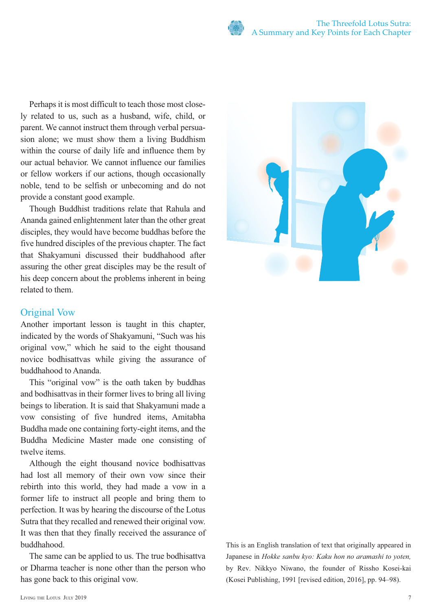Perhaps it is most difficult to teach those most closely related to us, such as a husband, wife, child, or parent. We cannot instruct them through verbal persuasion alone; we must show them a living Buddhism within the course of daily life and influence them by our actual behavior. We cannot influence our families or fellow workers if our actions, though occasionally noble, tend to be selfish or unbecoming and do not provide a constant good example.

Though Buddhist traditions relate that Rahula and Ananda gained enlightenment later than the other great disciples, they would have become buddhas before the five hundred disciples of the previous chapter. The fact that Shakyamuni discussed their buddhahood after assuring the other great disciples may be the result of his deep concern about the problems inherent in being related to them.

## Original Vow

Another important lesson is taught in this chapter, indicated by the words of Shakyamuni, "Such was his original vow," which he said to the eight thousand novice bodhisattvas while giving the assurance of buddhahood to Ananda.

This "original vow" is the oath taken by buddhas and bodhisattvas in their former lives to bring all living beings to liberation. It is said that Shakyamuni made a vow consisting of five hundred items, Amitabha Buddha made one containing forty-eight items, and the Buddha Medicine Master made one consisting of twelve items.

Although the eight thousand novice bodhisattvas had lost all memory of their own vow since their rebirth into this world, they had made a vow in a former life to instruct all people and bring them to perfection. It was by hearing the discourse of the Lotus Sutra that they recalled and renewed their original vow. It was then that they finally received the assurance of buddhahood.

The same can be applied to us. The true bodhisattva or Dharma teacher is none other than the person who has gone back to this original vow.

![](_page_6_Picture_8.jpeg)

This is an English translation of text that originally appeared in Japanese in *Hokke sanbu kyo: Kaku hon no aramashi to yoten,*  by Rev. Nikkyo Niwano, the founder of Rissho Kosei-kai (Kosei Publishing, 1991 [revised edition, 2016], pp. 94–98).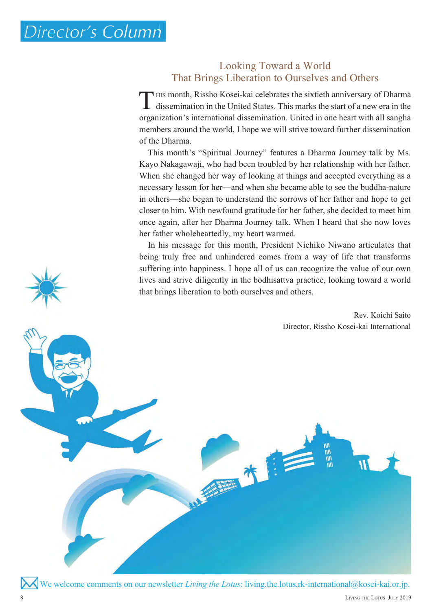## Looking Toward a World That Brings Liberation to Ourselves and Others

HIS month, Rissho Kosei-kai celebrates the sixtieth anniversary of Dharma dissemination in the United States. This marks the start of a new era in the organization's international dissemination. United in one heart with all sangha members around the world, I hope we will strive toward further dissemination of the Dharma. T

This month's "Spiritual Journey" features a Dharma Journey talk by Ms. Kayo Nakagawaji, who had been troubled by her relationship with her father. When she changed her way of looking at things and accepted everything as a necessary lesson for her—and when she became able to see the buddha-nature in others—she began to understand the sorrows of her father and hope to get closer to him. With newfound gratitude for her father, she decided to meet him once again, after her Dharma Journey talk. When I heard that she now loves her father wholeheartedly, my heart warmed.

In his message for this month, President Nichiko Niwano articulates that being truly free and unhindered comes from a way of life that transforms suffering into happiness. I hope all of us can recognize the value of our own I lives and strive diligently in the bodhisattva practice, looking toward a world that brings liberation to both ourselves and others.

> Rev. Koichi Saito Director, Rissho Kosei-kai International

We welcome comments on our newsletter *Living the Lotus*: living.the.lotus.rk-international@kosei-kai.or.jp.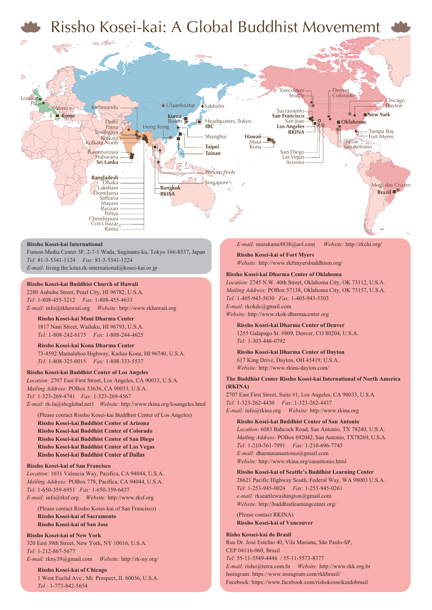![](_page_8_Picture_0.jpeg)

#### **Rissho Kosei-kai International**

Fumon Media Center 3F, 2-7-1 Wada, Suginami-ku, Tokyo 166-8537, Japan *Tel:* 81-3-5341-1124 *Fax:* 81-3-5341-1224 *E-mail:* living.the.lotus.rk-international@kosei-kai.or.jp

Cox's bazar

Chendirpuni Ramu

#### **Rissho Kosei-kai Buddhist Church of Hawaii**

2280 Auhuhu Street, Pearl City, HI 96782, U.S.A. *Tel:* 1-808-455-3212 *Fax:* 1-808-455-4633 *E-mail:* info@rkhawaii.org *Website:* http://www.rkhawaii.org

**Rissho Kosei-kai Maui Dharma Center** 1817 Nani Street, Wailuku, HI 96793, U.S.A. *Tel:* 1-808-242-6175 *Fax:* 1-808-244-4625

#### **Rissho Kosei-kai Kona Dharma Center** 73-4592 Mamalahoa Highway, Kailua-Kona, HI 96740, U.S.A. *Tel:* 1-808-325-0015 *Fax:* 1-808-333-5537

#### **Rissho Kosei-kai Buddhist Center of Los Angeles**

*Location:* 2707 East First Street, Los Angeles, CA 90033, U.S.A. *Mailing Address:* POBox 33636, CA 90033, U.S.A. *Tel:* 1-323-269-4741 *Fax:* 1-323-269-4567 *E-mail:* rk-la@sbcglobal.net1 *Website:* http://www.rkina.org/losangeles.html

(Please contact Rissho Kosei-kai Buddhist Center of Los Angeles) **Rissho Kosei-kai Buddhist Center of Arizona Rissho Kosei-kai Buddhist Center of Colorado Rissho Kosei-kai Buddhist Center of San Diego Rissho Kosei-kai Buddhist Center of Las Vegas Rissho Kosei-kai Buddhist Center of Dallas**

#### **Rissho Kosei-kai of San Francisco**

*Location:* 1031 Valencia Way, Pacifica, CA 94044, U.S.A. *Mailing Address:* POBox 778, Pacifica, CA 94044, U.S.A. *Tel:* 1-650-359-6951 *Fax:* 1-650-359-6437 *E-mail:* info@rksf.org *Website:* http://www.rksf.org

(Please contact Rissho Kosei-kai of San Francisco) **Rissho Kosei-kai of Sacramento Rissho Kosei-kai of San Jose**

#### **Rissho Kosei-kai of New York**

320 East 39th Street, New York, NY 10016, U.S.A. *Tel:* 1-212-867-5677

*E-mail:* rkny39@gmail.com *Website:* http://rk-ny.org/

**Rissho Kosei-kai of Chicago** 1 West Euclid Ave., Mt. Prospect, IL 60056, U.S.A. *Tel :* 1-773-842-5654

*E-mail:* murakami4838@aol.com *Website:* http://rkchi.org/

**Rissho Kosei-kai of Fort Myers** *Website:* http://www.rkftmyersbuddhism.org/

#### **Rissho Kosei-kai Dharma Center of Oklahoma**

*Location:* 2745 N.W. 40th Street, Oklahoma City, OK 73112, U.S.A. *Mailing Address:* POBox 57138, Oklahoma City, OK 73157, U.S.A. *Tel:* 1-405-943-5030 *Fax:* 1-405-943-5303 *E-mail:* rkokdc@gmail.com *Website:* http://www.rkok-dharmacenter.org

**Rissho Kosei-kai Dharma Center of Denver** 1255 Galapago St. #809, Denver, CO 80204, U.S.A. *Tel:* 1-303-446-0792

**Rissho Kosei-kai Dharma Center of Dayton** 617 King Drive, Dayton, OH 45419, U.S.A. *Website:* http://www.rkina-dayton.com/

#### **The Buddhist Center Rissho Kosei-kai International of North America (RKINA)**

2707 East First Street, Suite #1, Los Angeles, CA 90033, U.S.A *Tel:* 1-323-262-4430 *Fax:* 1-323-262-4437 *E-mail:* info@rkina.org *Website:* http://www.rkina.org

#### **Rissho Kosei-kai Buddhist Center of San Antonio**

*Location:* 6083 Babcock Road, San Antonio, TX 78240, U.S.A. *Mailing Address:* POBox 692042, San Antonio, TX78269, U.S.A. *Tel:* 1-210-561-7991 *Fax:* 1-210-696-7745 *E-mail:* dharmasanantonio@gmail.com *Website:* http://www.rkina.org/sanantonio.html

**Rissho Kosei-kai of Seattle's Buddhist Learning Center** 28621 Pacific Highway South, Federal Way, WA 98003 U.S.A. *Tel:* 1-253-945-0024 *Fax:* 1-253-945-0261

*e-mail:* rkseattlewashington@gmail.com *Website:* http://buddhistlearningcenter.org/ (Please contact RKINA)

**Rissho Kosei-kai of Vancouver**

#### **Risho Kossei-kai do Brasil**

Rua Dr. José Estefno 40, Vila Mariana, São Paulo-SP, CEP 04116-060, Brasil *Tel:* 55-11-5549-4446 / 55-11-5573-8377 *E-mail:* risho@terra.com.br *Website:* http://www.rkk.org.br Instagram: https://www.instagram.com/rkkbrasil/ Facebook: https://www.facebook.com/rishokosseikaidobrasil